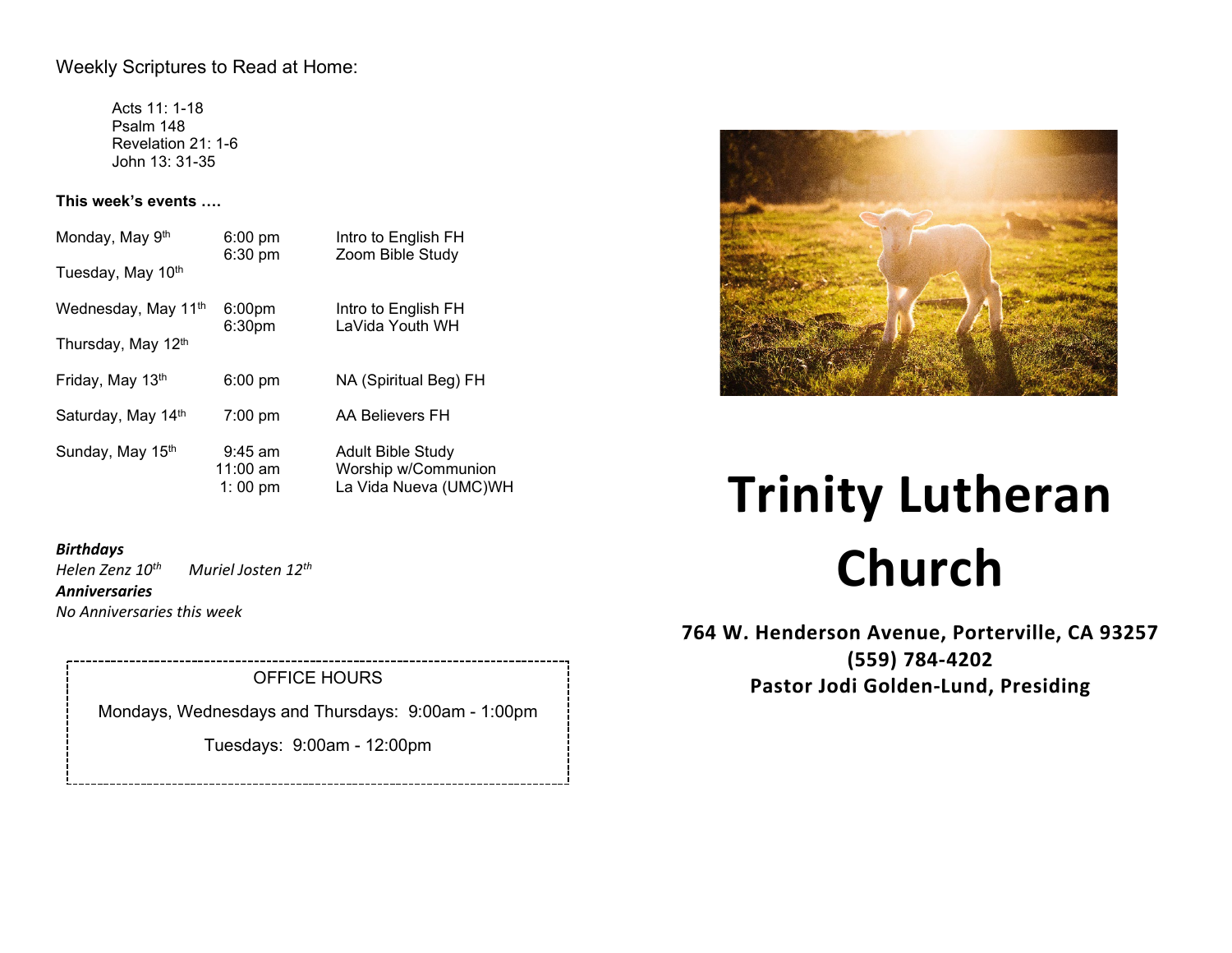# Weekly Scriptures to Read at Home:

Acts 11: 1-18 Psalm 148 Revelation 21: 1-6 John 13: 31-35

## **This week's events ….**

| Monday, May 9th                 | $6:00$ pm<br>6:30 pm                     | Intro to English FH<br>Zoom Bible Study                                  |
|---------------------------------|------------------------------------------|--------------------------------------------------------------------------|
| Tuesday, May 10th               |                                          |                                                                          |
| Wednesday, May 11 <sup>th</sup> | 6:00 <sub>pm</sub><br>6:30 <sub>pm</sub> | Intro to English FH<br>LaVida Youth WH                                   |
| Thursday, May 12th              |                                          |                                                                          |
| Friday, May 13th                | $6:00$ pm                                | NA (Spiritual Beg) FH                                                    |
| Saturday, May 14th              | $7:00 \text{ pm}$                        | AA Believers FH                                                          |
| Sunday, May 15th                | $9:45$ am<br>$11:00$ am<br>1:00 pm       | <b>Adult Bible Study</b><br>Worship w/Communion<br>La Vida Nueva (UMC)WH |

## *Birthdays*

*Helen Zenz 10th Muriel Josten 12th*

*Anniversaries*

*No Anniversaries this week*

OFFICE HOURS

Mondays, Wednesdays and Thursdays: 9:00am - 1:00pm

Tuesdays: 9:00am - 12:00pm



# **Trinity Lutheran Church**

**764 W. Henderson Avenue, Porterville, CA 93257 (559) 784-4202 Pastor Jodi Golden-Lund, Presiding**